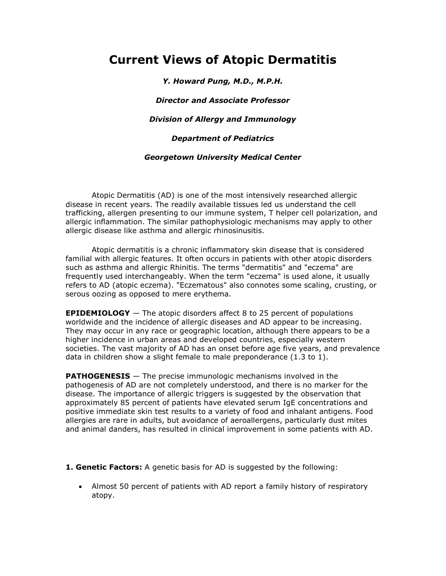# **Current Views of Atopic Dermatitis**

*Y. Howard Pung, M.D., M.P.H. Director and Associate Professor Division of Allergy and Immunology Department of Pediatrics* 

### *Georgetown University Medical Center*

Atopic Dermatitis (AD) is one of the most intensively researched allergic disease in recent years. The readily available tissues led us understand the cell trafficking, allergen presenting to our immune system, T helper cell polarization, and allergic inflammation. The similar pathophysiologic mechanisms may apply to other allergic disease like asthma and allergic rhinosinusitis.

Atopic dermatitis is a chronic inflammatory skin disease that is considered familial with allergic features. It often occurs in patients with other atopic disorders such as asthma and allergic Rhinitis. The terms "dermatitis" and "eczema" are frequently used interchangeably. When the term "eczema" is used alone, it usually refers to AD (atopic eczema). "Eczematous" also connotes some scaling, crusting, or serous oozing as opposed to mere erythema.

**EPIDEMIOLOGY** — The atopic disorders affect 8 to 25 percent of populations worldwide and the incidence of allergic diseases and AD appear to be increasing. They may occur in any race or geographic location, although there appears to be a higher incidence in urban areas and developed countries, especially western societies. The vast majority of AD has an onset before age five years, and prevalence data in children show a slight female to male preponderance (1.3 to 1).

**PATHOGENESIS** — The precise immunologic mechanisms involved in the pathogenesis of AD are not completely understood, and there is no marker for the disease. The importance of allergic triggers is suggested by the observation that approximately 85 percent of patients have elevated serum IgE concentrations and positive immediate skin test results to a variety of food and inhalant antigens. Food allergies are rare in adults, but avoidance of aeroallergens, particularly dust mites and animal danders, has resulted in clinical improvement in some patients with AD.

**1. Genetic Factors:** A genetic basis for AD is suggested by the following:

• Almost 50 percent of patients with AD report a family history of respiratory atopy.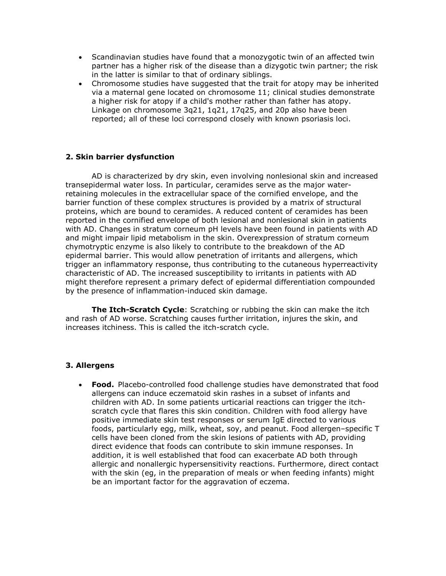- Scandinavian studies have found that a monozygotic twin of an affected twin partner has a higher risk of the disease than a dizygotic twin partner; the risk in the latter is similar to that of ordinary siblings.
- Chromosome studies have suggested that the trait for atopy may be inherited via a maternal gene located on chromosome 11; clinical studies demonstrate a higher risk for atopy if a child's mother rather than father has atopy. Linkage on chromosome 3q21, 1q21, 17q25, and 20p also have been reported; all of these loci correspond closely with known psoriasis loci.

## **2. Skin barrier dysfunction**

AD is characterized by dry skin, even involving nonlesional skin and increased transepidermal water loss. In particular, ceramides serve as the major waterretaining molecules in the extracellular space of the cornified envelope, and the barrier function of these complex structures is provided by a matrix of structural proteins, which are bound to ceramides. A reduced content of ceramides has been reported in the cornified envelope of both lesional and nonlesional skin in patients with AD. Changes in stratum corneum pH levels have been found in patients with AD and might impair lipid metabolism in the skin. Overexpression of stratum corneum chymotryptic enzyme is also likely to contribute to the breakdown of the AD epidermal barrier. This would allow penetration of irritants and allergens, which trigger an inflammatory response, thus contributing to the cutaneous hyperreactivity characteristic of AD. The increased susceptibility to irritants in patients with AD might therefore represent a primary defect of epidermal differentiation compounded by the presence of inflammation-induced skin damage.

**The Itch-Scratch Cycle**: Scratching or rubbing the skin can make the itch and rash of AD worse. Scratching causes further irritation, injures the skin, and increases itchiness. This is called the itch-scratch cycle.

# **3. Allergens**

• **Food.** Placebo-controlled food challenge studies have demonstrated that food allergens can induce eczematoid skin rashes in a subset of infants and children with AD. In some patients urticarial reactions can trigger the itchscratch cycle that flares this skin condition. Children with food allergy have positive immediate skin test responses or serum IgE directed to various foods, particularly egg, milk, wheat, soy, and peanut. Food allergen–specific T cells have been cloned from the skin lesions of patients with AD, providing direct evidence that foods can contribute to skin immune responses. In addition, it is well established that food can exacerbate AD both through allergic and nonallergic hypersensitivity reactions. Furthermore, direct contact with the skin (eg, in the preparation of meals or when feeding infants) might be an important factor for the aggravation of eczema.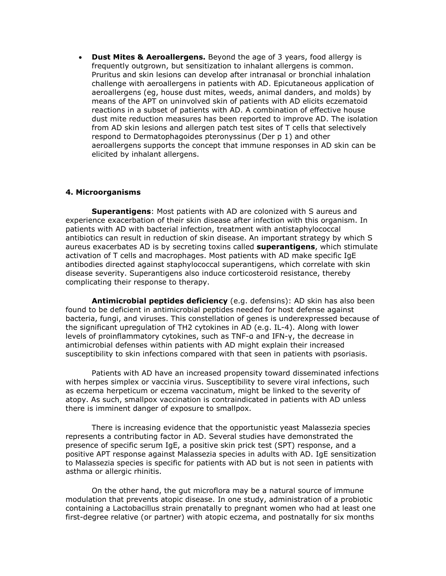• **Dust Mites & Aeroallergens.** Beyond the age of 3 years, food allergy is frequently outgrown, but sensitization to inhalant allergens is common. Pruritus and skin lesions can develop after intranasal or bronchial inhalation challenge with aeroallergens in patients with AD. Epicutaneous application of aeroallergens (eg, house dust mites, weeds, animal danders, and molds) by means of the APT on uninvolved skin of patients with AD elicits eczematoid reactions in a subset of patients with AD. A combination of effective house dust mite reduction measures has been reported to improve AD. The isolation from AD skin lesions and allergen patch test sites of T cells that selectively respond to Dermatophagoides pteronyssinus (Der p 1) and other aeroallergens supports the concept that immune responses in AD skin can be elicited by inhalant allergens.

#### **4. Microorganisms**

**Superantigens**: Most patients with AD are colonized with S aureus and experience exacerbation of their skin disease after infection with this organism. In patients with AD with bacterial infection, treatment with antistaphylococcal antibiotics can result in reduction of skin disease. An important strategy by which S aureus exacerbates AD is by secreting toxins called **superantigens**, which stimulate activation of T cells and macrophages. Most patients with AD make specific IgE antibodies directed against staphylococcal superantigens, which correlate with skin disease severity. Superantigens also induce corticosteroid resistance, thereby complicating their response to therapy.

**Antimicrobial peptides deficiency** (e.g. defensins): AD skin has also been found to be deficient in antimicrobial peptides needed for host defense against bacteria, fungi, and viruses. This constellation of genes is underexpressed because of the significant upregulation of TH2 cytokines in AD (e.g. IL-4). Along with lower levels of proinflammatory cytokines, such as TNF-α and IFN-γ, the decrease in antimicrobial defenses within patients with AD might explain their increased susceptibility to skin infections compared with that seen in patients with psoriasis.

Patients with AD have an increased propensity toward disseminated infections with herpes simplex or vaccinia virus. Susceptibility to severe viral infections, such as eczema herpeticum or eczema vaccinatum, might be linked to the severity of atopy. As such, smallpox vaccination is contraindicated in patients with AD unless there is imminent danger of exposure to smallpox.

There is increasing evidence that the opportunistic yeast Malassezia species represents a contributing factor in AD. Several studies have demonstrated the presence of specific serum IgE, a positive skin prick test (SPT) response, and a positive APT response against Malassezia species in adults with AD. IgE sensitization to Malassezia species is specific for patients with AD but is not seen in patients with asthma or allergic rhinitis.

On the other hand, the gut microflora may be a natural source of immune modulation that prevents atopic disease. In one study, administration of a probiotic containing a Lactobacillus strain prenatally to pregnant women who had at least one first-degree relative (or partner) with atopic eczema, and postnatally for six months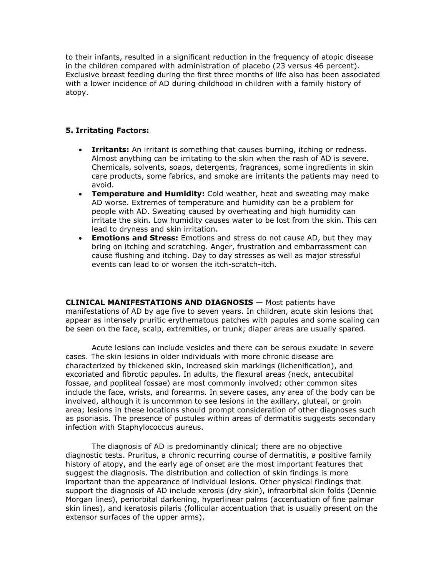to their infants, resulted in a significant reduction in the frequency of atopic disease in the children compared with administration of placebo (23 versus 46 percent). Exclusive breast feeding during the first three months of life also has been associated with a lower incidence of AD during childhood in children with a family history of atopy.

# **5. Irritating Factors:**

- **Irritants:** An irritant is something that causes burning, itching or redness. Almost anything can be irritating to the skin when the rash of AD is severe. Chemicals, solvents, soaps, detergents, fragrances, some ingredients in skin care products, some fabrics, and smoke are irritants the patients may need to avoid.
- **Temperature and Humidity:** Cold weather, heat and sweating may make AD worse. Extremes of temperature and humidity can be a problem for people with AD. Sweating caused by overheating and high humidity can irritate the skin. Low humidity causes water to be lost from the skin. This can lead to dryness and skin irritation.
- **Emotions and Stress:** Emotions and stress do not cause AD, but they may bring on itching and scratching. Anger, frustration and embarrassment can cause flushing and itching. Day to day stresses as well as major stressful events can lead to or worsen the itch-scratch-itch.

**CLINICAL MANIFESTATIONS AND DIAGNOSIS** — Most patients have manifestations of AD by age five to seven years. In children, acute skin lesions that appear as intensely pruritic erythematous patches with papules and some scaling can be seen on the face, scalp, extremities, or trunk; diaper areas are usually spared.

Acute lesions can include vesicles and there can be serous exudate in severe cases. The skin lesions in older individuals with more chronic disease are characterized by thickened skin, increased skin markings (lichenification), and excoriated and fibrotic papules. In adults, the flexural areas (neck, antecubital fossae, and popliteal fossae) are most commonly involved; other common sites include the face, wrists, and forearms. In severe cases, any area of the body can be involved, although it is uncommon to see lesions in the axillary, gluteal, or groin area; lesions in these locations should prompt consideration of other diagnoses such as psoriasis. The presence of pustules within areas of dermatitis suggests secondary infection with Staphylococcus aureus.

The diagnosis of AD is predominantly clinical; there are no objective diagnostic tests. Pruritus, a chronic recurring course of dermatitis, a positive family history of atopy, and the early age of onset are the most important features that suggest the diagnosis. The distribution and collection of skin findings is more important than the appearance of individual lesions. Other physical findings that support the diagnosis of AD include xerosis (dry skin), infraorbital skin folds (Dennie Morgan lines), periorbital darkening, hyperlinear palms (accentuation of fine palmar skin lines), and keratosis pilaris (follicular accentuation that is usually present on the extensor surfaces of the upper arms).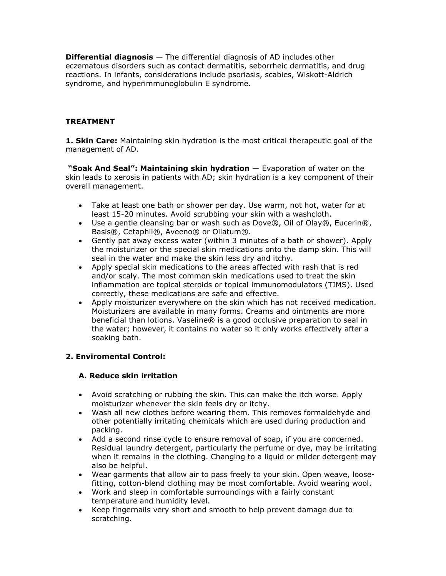**Differential diagnosis** — The differential diagnosis of AD includes other eczematous disorders such as contact dermatitis, seborrheic dermatitis, and drug reactions. In infants, considerations include psoriasis, scabies, Wiskott-Aldrich syndrome, and hyperimmunoglobulin E syndrome.

# **TREATMENT**

**1. Skin Care:** Maintaining skin hydration is the most critical therapeutic goal of the management of AD.

**"Soak And Seal": Maintaining skin hydration** — Evaporation of water on the skin leads to xerosis in patients with AD; skin hydration is a key component of their overall management.

- Take at least one bath or shower per day. Use warm, not hot, water for at least 15-20 minutes. Avoid scrubbing your skin with a washcloth.
- Use a gentle cleansing bar or wash such as Dove®, Oil of Olay®, Eucerin®, Basis®, Cetaphil®, Aveeno® or Oilatum®.
- Gently pat away excess water (within 3 minutes of a bath or shower). Apply the moisturizer or the special skin medications onto the damp skin. This will seal in the water and make the skin less dry and itchy.
- Apply special skin medications to the areas affected with rash that is red and/or scaly. The most common skin medications used to treat the skin inflammation are topical steroids or topical immunomodulators (TIMS). Used correctly, these medications are safe and effective.
- Apply moisturizer everywhere on the skin which has not received medication. Moisturizers are available in many forms. Creams and ointments are more beneficial than lotions. Vaseline® is a good occlusive preparation to seal in the water; however, it contains no water so it only works effectively after a soaking bath.

# **2. Enviromental Control:**

# **A. Reduce skin irritation**

- Avoid scratching or rubbing the skin. This can make the itch worse. Apply moisturizer whenever the skin feels dry or itchy.
- Wash all new clothes before wearing them. This removes formaldehyde and other potentially irritating chemicals which are used during production and packing.
- Add a second rinse cycle to ensure removal of soap, if you are concerned. Residual laundry detergent, particularly the perfume or dye, may be irritating when it remains in the clothing. Changing to a liquid or milder detergent may also be helpful.
- Wear garments that allow air to pass freely to your skin. Open weave, loosefitting, cotton-blend clothing may be most comfortable. Avoid wearing wool.
- Work and sleep in comfortable surroundings with a fairly constant temperature and humidity level.
- Keep fingernails very short and smooth to help prevent damage due to scratching.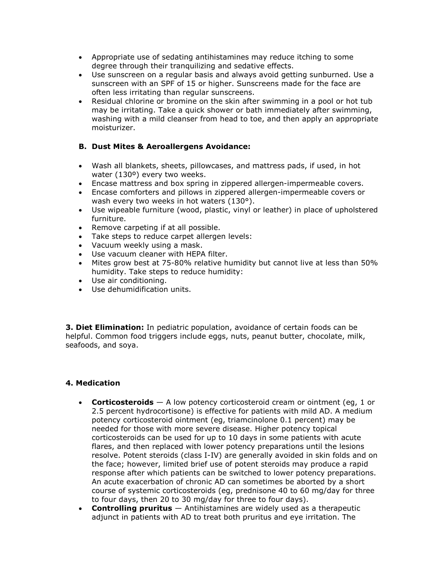- Appropriate use of sedating antihistamines may reduce itching to some degree through their tranquilizing and sedative effects.
- Use sunscreen on a regular basis and always avoid getting sunburned. Use a sunscreen with an SPF of 15 or higher. Sunscreens made for the face are often less irritating than regular sunscreens.
- Residual chlorine or bromine on the skin after swimming in a pool or hot tub may be irritating. Take a quick shower or bath immediately after swimming, washing with a mild cleanser from head to toe, and then apply an appropriate moisturizer.

# **B. Dust Mites & Aeroallergens Avoidance:**

- Wash all blankets, sheets, pillowcases, and mattress pads, if used, in hot water (130º) every two weeks.
- Encase mattress and box spring in zippered allergen-impermeable covers.
- Encase comforters and pillows in zippered allergen-impermeable covers or wash every two weeks in hot waters (130°).
- Use wipeable furniture (wood, plastic, vinyl or leather) in place of upholstered furniture.
- Remove carpeting if at all possible.
- Take steps to reduce carpet allergen levels:
- Vacuum weekly using a mask.
- Use vacuum cleaner with HEPA filter.
- Mites grow best at 75-80% relative humidity but cannot live at less than 50% humidity. Take steps to reduce humidity:
- Use air conditioning.
- Use dehumidification units.

**3. Diet Elimination:** In pediatric population, avoidance of certain foods can be helpful. Common food triggers include eggs, nuts, peanut butter, chocolate, milk, seafoods, and soya.

# **4. Medication**

- **Corticosteroids** A low potency corticosteroid cream or ointment (eg, 1 or 2.5 percent hydrocortisone) is effective for patients with mild AD. A medium potency corticosteroid ointment (eg, triamcinolone 0.1 percent) may be needed for those with more severe disease. Higher potency topical corticosteroids can be used for up to 10 days in some patients with acute flares, and then replaced with lower potency preparations until the lesions resolve. Potent steroids (class I-IV) are generally avoided in skin folds and on the face; however, limited brief use of potent steroids may produce a rapid response after which patients can be switched to lower potency preparations. An acute exacerbation of chronic AD can sometimes be aborted by a short course of systemic corticosteroids (eg, prednisone 40 to 60 mg/day for three to four days, then 20 to 30 mg/day for three to four days).
- **Controlling pruritus** Antihistamines are widely used as a therapeutic adjunct in patients with AD to treat both pruritus and eye irritation. The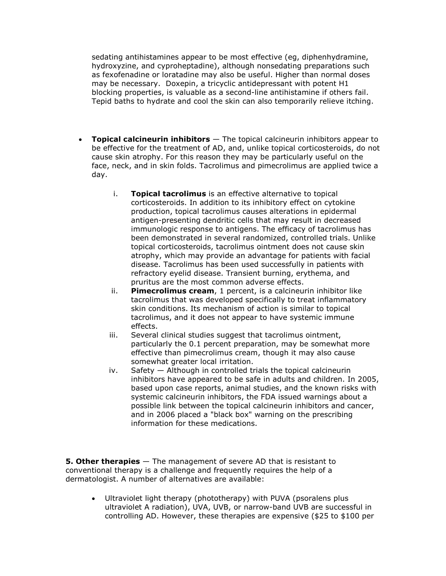sedating antihistamines appear to be most effective (eg, diphenhydramine, hydroxyzine, and cyproheptadine), although nonsedating preparations such as fexofenadine or loratadine may also be useful. Higher than normal doses may be necessary. Doxepin, a tricyclic antidepressant with potent H1 blocking properties, is valuable as a second-line antihistamine if others fail. Tepid baths to hydrate and cool the skin can also temporarily relieve itching.

- **Topical calcineurin inhibitors** The topical calcineurin inhibitors appear to be effective for the treatment of AD, and, unlike topical corticosteroids, do not cause skin atrophy. For this reason they may be particularly useful on the face, neck, and in skin folds. Tacrolimus and pimecrolimus are applied twice a day.
	- i. **Topical tacrolimus** is an effective alternative to topical corticosteroids. In addition to its inhibitory effect on cytokine production, topical tacrolimus causes alterations in epidermal antigen-presenting dendritic cells that may result in decreased immunologic response to antigens. The efficacy of tacrolimus has been demonstrated in several randomized, controlled trials. Unlike topical corticosteroids, tacrolimus ointment does not cause skin atrophy, which may provide an advantage for patients with facial disease. Tacrolimus has been used successfully in patients with refractory eyelid disease. Transient burning, erythema, and pruritus are the most common adverse effects.
	- ii. **Pimecrolimus cream**, 1 percent, is a calcineurin inhibitor like tacrolimus that was developed specifically to treat inflammatory skin conditions. Its mechanism of action is similar to topical tacrolimus, and it does not appear to have systemic immune effects.
	- iii. Several clinical studies suggest that tacrolimus ointment, particularly the 0.1 percent preparation, may be somewhat more effective than pimecrolimus cream, though it may also cause somewhat greater local irritation.
	- iv. Safety Although in controlled trials the topical calcineurin inhibitors have appeared to be safe in adults and children. In 2005, based upon case reports, animal studies, and the known risks with systemic calcineurin inhibitors, the FDA issued warnings about a possible link between the topical calcineurin inhibitors and cancer, and in 2006 placed a "black box" warning on the prescribing information for these medications.

**5. Other therapies** — The management of severe AD that is resistant to conventional therapy is a challenge and frequently requires the help of a dermatologist. A number of alternatives are available:

• Ultraviolet light therapy (phototherapy) with PUVA (psoralens plus ultraviolet A radiation), UVA, UVB, or narrow-band UVB are successful in controlling AD. However, these therapies are expensive (\$25 to \$100 per